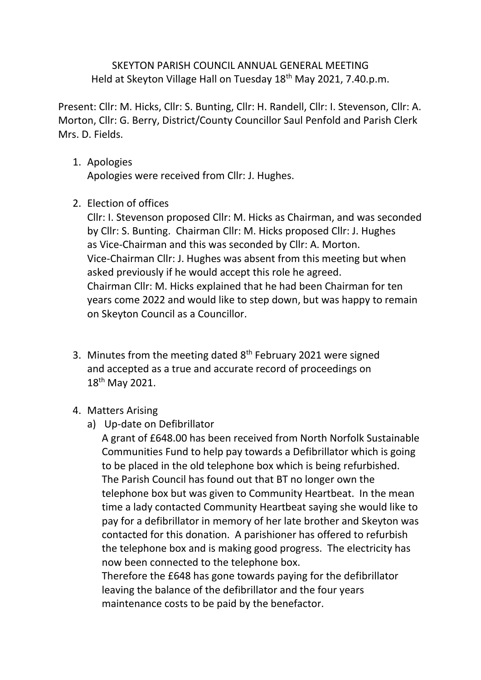## SKEYTON PARISH COUNCIL ANNUAL GENERAL MEETING Held at Skeyton Village Hall on Tuesday 18<sup>th</sup> May 2021, 7.40.p.m.

Present: Cllr: M. Hicks, Cllr: S. Bunting, Cllr: H. Randell, Cllr: I. Stevenson, Cllr: A. Morton, Cllr: G. Berry, District/County Councillor Saul Penfold and Parish Clerk Mrs. D. Fields.

## 1. Apologies

Apologies were received from Cllr: J. Hughes.

2. Election of offices

Cllr: I. Stevenson proposed Cllr: M. Hicks as Chairman, and was seconded by Cllr: S. Bunting. Chairman Cllr: M. Hicks proposed Cllr: J. Hughes as Vice-Chairman and this was seconded by Cllr: A. Morton. Vice-Chairman Cllr: J. Hughes was absent from this meeting but when asked previously if he would accept this role he agreed. Chairman Cllr: M. Hicks explained that he had been Chairman for ten years come 2022 and would like to step down, but was happy to remain on Skeyton Council as a Councillor.

- 3. Minutes from the meeting dated 8<sup>th</sup> February 2021 were signed and accepted as a true and accurate record of proceedings on 18th May 2021.
- 4. Matters Arising
	- a) Up-date on Defibrillator

A grant of £648.00 has been received from North Norfolk Sustainable Communities Fund to help pay towards a Defibrillator which is going to be placed in the old telephone box which is being refurbished. The Parish Council has found out that BT no longer own the telephone box but was given to Community Heartbeat. In the mean time a lady contacted Community Heartbeat saying she would like to pay for a defibrillator in memory of her late brother and Skeyton was contacted for this donation. A parishioner has offered to refurbish the telephone box and is making good progress. The electricity has now been connected to the telephone box.

Therefore the £648 has gone towards paying for the defibrillator leaving the balance of the defibrillator and the four years maintenance costs to be paid by the benefactor.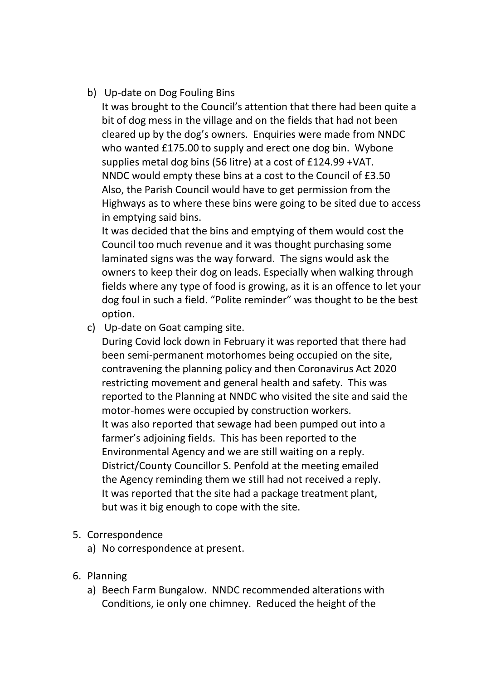b) Up-date on Dog Fouling Bins

It was brought to the Council's attention that there had been quite a bit of dog mess in the village and on the fields that had not been cleared up by the dog's owners. Enquiries were made from NNDC who wanted £175.00 to supply and erect one dog bin. Wybone supplies metal dog bins (56 litre) at a cost of £124.99 +VAT. NNDC would empty these bins at a cost to the Council of £3.50 Also, the Parish Council would have to get permission from the Highways as to where these bins were going to be sited due to access in emptying said bins.

It was decided that the bins and emptying of them would cost the Council too much revenue and it was thought purchasing some laminated signs was the way forward. The signs would ask the owners to keep their dog on leads. Especially when walking through fields where any type of food is growing, as it is an offence to let your dog foul in such a field. "Polite reminder" was thought to be the best option.

c) Up-date on Goat camping site.

During Covid lock down in February it was reported that there had been semi-permanent motorhomes being occupied on the site, contravening the planning policy and then Coronavirus Act 2020 restricting movement and general health and safety. This was reported to the Planning at NNDC who visited the site and said the motor-homes were occupied by construction workers. It was also reported that sewage had been pumped out into a farmer's adjoining fields. This has been reported to the Environmental Agency and we are still waiting on a reply. District/County Councillor S. Penfold at the meeting emailed the Agency reminding them we still had not received a reply. It was reported that the site had a package treatment plant, but was it big enough to cope with the site.

- 5. Correspondence
	- a) No correspondence at present.
- 6. Planning
	- a) Beech Farm Bungalow. NNDC recommended alterations with Conditions, ie only one chimney. Reduced the height of the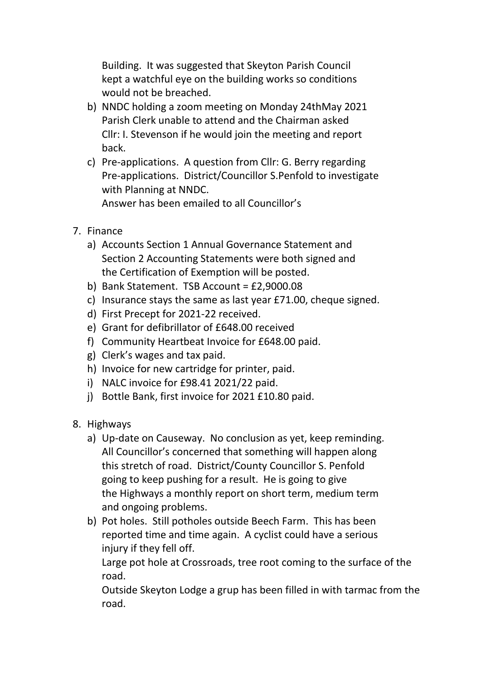Building. It was suggested that Skeyton Parish Council kept a watchful eye on the building works so conditions would not be breached.

- b) NNDC holding a zoom meeting on Monday 24thMay 2021 Parish Clerk unable to attend and the Chairman asked Cllr: I. Stevenson if he would join the meeting and report back.
- c) Pre-applications. A question from Cllr: G. Berry regarding Pre-applications. District/Councillor S.Penfold to investigate with Planning at NNDC.

Answer has been emailed to all Councillor's

- 7. Finance
	- a) Accounts Section 1 Annual Governance Statement and Section 2 Accounting Statements were both signed and the Certification of Exemption will be posted.
	- b) Bank Statement. TSB Account = £2,9000.08
	- c) Insurance stays the same as last year £71.00, cheque signed.
	- d) First Precept for 2021-22 received.
	- e) Grant for defibrillator of £648.00 received
	- f) Community Heartbeat Invoice for £648.00 paid.
	- g) Clerk's wages and tax paid.
	- h) Invoice for new cartridge for printer, paid.
	- i) NALC invoice for £98.41 2021/22 paid.
	- j) Bottle Bank, first invoice for 2021 £10.80 paid.
- 8. Highways
	- a) Up-date on Causeway. No conclusion as yet, keep reminding. All Councillor's concerned that something will happen along this stretch of road. District/County Councillor S. Penfold going to keep pushing for a result. He is going to give the Highways a monthly report on short term, medium term and ongoing problems.
	- b) Pot holes. Still potholes outside Beech Farm. This has been reported time and time again. A cyclist could have a serious injury if they fell off.

Large pot hole at Crossroads, tree root coming to the surface of the road.

Outside Skeyton Lodge a grup has been filled in with tarmac from the road.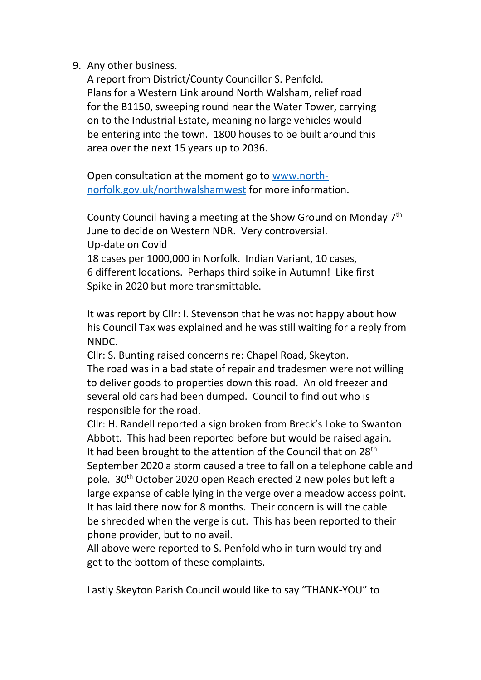9. Any other business.

A report from District/County Councillor S. Penfold. Plans for a Western Link around North Walsham, relief road for the B1150, sweeping round near the Water Tower, carrying on to the Industrial Estate, meaning no large vehicles would be entering into the town. 1800 houses to be built around this area over the next 15 years up to 2036.

Open consultation at the moment go to [www.north](http://www.north-norfolk.gov.uk/northwalshamwest)[norfolk.gov.uk/northwalshamwest](http://www.north-norfolk.gov.uk/northwalshamwest) for more information.

County Council having a meeting at the Show Ground on Monday 7th June to decide on Western NDR. Very controversial. Up-date on Covid 18 cases per 1000,000 in Norfolk. Indian Variant, 10 cases, 6 different locations. Perhaps third spike in Autumn! Like first Spike in 2020 but more transmittable.

It was report by Cllr: I. Stevenson that he was not happy about how his Council Tax was explained and he was still waiting for a reply from NNDC.

Cllr: S. Bunting raised concerns re: Chapel Road, Skeyton. The road was in a bad state of repair and tradesmen were not willing to deliver goods to properties down this road. An old freezer and several old cars had been dumped. Council to find out who is responsible for the road.

Cllr: H. Randell reported a sign broken from Breck's Loke to Swanton Abbott. This had been reported before but would be raised again. It had been brought to the attention of the Council that on  $28<sup>th</sup>$ September 2020 a storm caused a tree to fall on a telephone cable and pole. 30th October 2020 open Reach erected 2 new poles but left a large expanse of cable lying in the verge over a meadow access point. It has laid there now for 8 months. Their concern is will the cable be shredded when the verge is cut. This has been reported to their phone provider, but to no avail.

All above were reported to S. Penfold who in turn would try and get to the bottom of these complaints.

Lastly Skeyton Parish Council would like to say "THANK-YOU" to